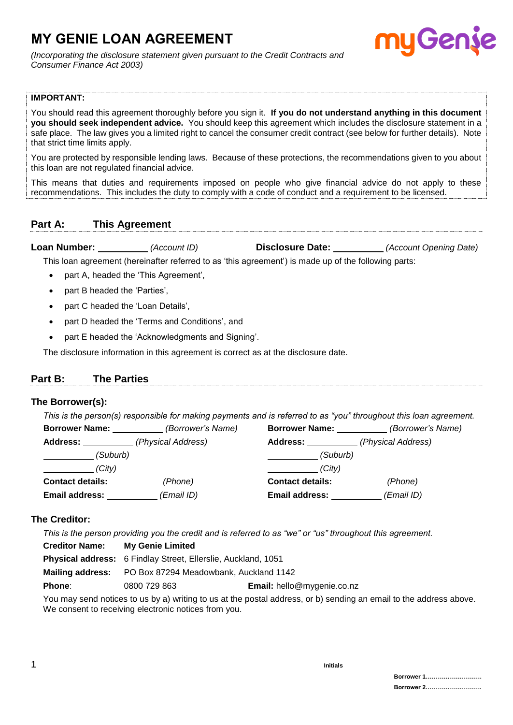# **MY GENIE LOAN AGREEMENT**

*(Incorporating the disclosure statement given pursuant to the Credit Contracts and Consumer Finance Act 2003)*

# **IMPORTANT:**

You should read this agreement thoroughly before you sign it. **If you do not understand anything in this document you should seek independent advice.** You should keep this agreement which includes the disclosure statement in a safe place. The law gives you a limited right to cancel the consumer credit contract (see below for further details). Note that strict time limits apply.

You are protected by responsible lending laws. Because of these protections, the recommendations given to you about this loan are not regulated financial advice.

This means that duties and requirements imposed on people who give financial advice do not apply to these recommendations. This includes the duty to comply with a code of conduct and a requirement to be licensed.

# **Part A: This Agreement**

| Loan Number: | (Account ID) | <b>Disclosure Date:</b> | (Account Opening Date) |
|--------------|--------------|-------------------------|------------------------|
|--------------|--------------|-------------------------|------------------------|

This loan agreement (hereinafter referred to as 'this agreement') is made up of the following parts:

- part A, headed the 'This Agreement',
- part B headed the 'Parties',
- part C headed the 'Loan Details',
- part D headed the 'Terms and Conditions', and
- part E headed the 'Acknowledgments and Signing'.

The disclosure information in this agreement is correct as at the disclosure date.

#### **Part B: The Parties**

#### **The Borrower(s):**

*This is the person(s) responsible for making payments and is referred to as "you" throughout this loan agreement.*

| <b>Borrower Name:</b>   | (Borrower's Name)  | <b>Borrower Name:</b>   | (Borrower's Name)  |
|-------------------------|--------------------|-------------------------|--------------------|
| <b>Address:</b>         | (Physical Address) | <b>Address:</b>         | (Physical Address) |
| (Suburb)                |                    | (Suburb)                |                    |
| (City)                  |                    | (City)                  |                    |
| <b>Contact details:</b> | (Phone)            | <b>Contact details:</b> | (Phone)            |
| <b>Email address:</b>   | (Email ID)         | <b>Email address:</b>   | (Email ID)         |

#### **The Creditor:**

*This is the person providing you the credit and is referred to as "we" or "us" throughout this agreement.*

| <b>Creditor Name:</b> | <b>My Genie Limited</b>                                              |                                   |
|-----------------------|----------------------------------------------------------------------|-----------------------------------|
|                       | <b>Physical address:</b> 6 Findlay Street, Ellerslie, Auckland, 1051 |                                   |
|                       | <b>Mailing address:</b> PO Box 87294 Meadowbank, Auckland 1142       |                                   |
| Phone:                | 0800 729 863                                                         | <b>Email:</b> hello@mygenie.co.nz |
|                       |                                                                      |                                   |

You may send notices to us by a) writing to us at the postal address, or b) sending an email to the address above. We consent to receiving electronic notices from you.

Gen.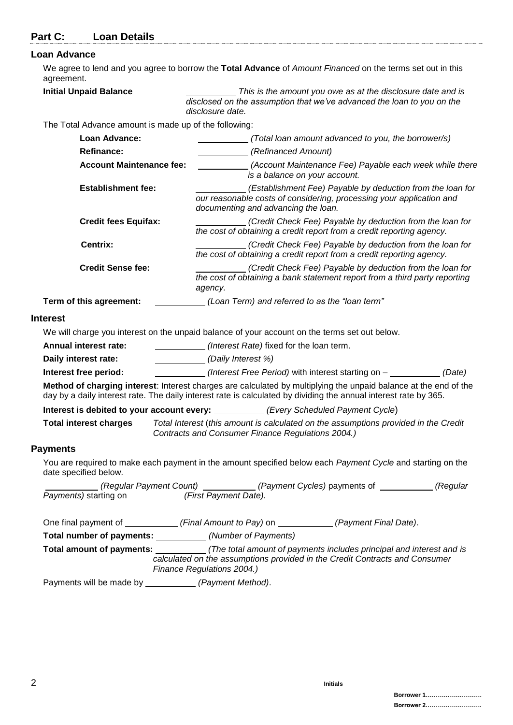| Part C: | <b>Loan Details</b> |
|---------|---------------------|
|---------|---------------------|

# **Loan Adv**

| Loan Advance                                                                                             |                                                                                                                                                                                                                                      |
|----------------------------------------------------------------------------------------------------------|--------------------------------------------------------------------------------------------------------------------------------------------------------------------------------------------------------------------------------------|
| agreement.                                                                                               | We agree to lend and you agree to borrow the Total Advance of Amount Financed on the terms set out in this                                                                                                                           |
| <b>Initial Unpaid Balance</b>                                                                            | This is the amount you owe as at the disclosure date and is<br>disclosed on the assumption that we've advanced the loan to you on the<br>disclosure date.                                                                            |
| The Total Advance amount is made up of the following:                                                    |                                                                                                                                                                                                                                      |
| Loan Advance:                                                                                            | (Total loan amount advanced to you, the borrower/s)                                                                                                                                                                                  |
| <b>Refinance:</b>                                                                                        | (Refinanced Amount)                                                                                                                                                                                                                  |
| <b>Account Maintenance fee:</b>                                                                          | (Account Maintenance Fee) Payable each week while there<br>is a balance on your account.                                                                                                                                             |
| <b>Establishment fee:</b>                                                                                | (Establishment Fee) Payable by deduction from the loan for<br>our reasonable costs of considering, processing your application and<br>documenting and advancing the loan.                                                            |
| <b>Credit fees Equifax:</b>                                                                              | (Credit Check Fee) Payable by deduction from the loan for<br>the cost of obtaining a credit report from a credit reporting agency.                                                                                                   |
| Centrix:                                                                                                 | (Credit Check Fee) Payable by deduction from the loan for<br>the cost of obtaining a credit report from a credit reporting agency.                                                                                                   |
| <b>Credit Sense fee:</b>                                                                                 | (Credit Check Fee) Payable by deduction from the loan for<br>the cost of obtaining a bank statement report from a third party reporting<br>agency.                                                                                   |
| Term of this agreement:                                                                                  | (Loan Term) and referred to as the "loan term"                                                                                                                                                                                       |
| <b>Interest</b>                                                                                          |                                                                                                                                                                                                                                      |
|                                                                                                          | We will charge you interest on the unpaid balance of your account on the terms set out below.                                                                                                                                        |
| <b>Annual interest rate:</b>                                                                             | (Interest Rate) fixed for the loan term.                                                                                                                                                                                             |
| Daily interest rate:<br>$\mathcal{L} = \{ \mathcal{L} \}$ . The set of $\mathcal{L} = \{ \mathcal{L} \}$ | (Daily Interest %)                                                                                                                                                                                                                   |
| Interest free period:                                                                                    | (Interest Free Period) with interest starting on -<br>(Date)                                                                                                                                                                         |
|                                                                                                          | Method of charging interest: Interest charges are calculated by multiplying the unpaid balance at the end of the<br>day by a daily interest rate. The daily interest rate is calculated by dividing the annual interest rate by 365. |
|                                                                                                          | Interest is debited to your account every: (Every Scheduled Payment Cycle)                                                                                                                                                           |
| <b>Total interest charges</b>                                                                            | Total Interest (this amount is calculated on the assumptions provided in the Credit<br>Contracts and Consumer Finance Regulations 2004.)                                                                                             |
| <b>Payments</b>                                                                                          |                                                                                                                                                                                                                                      |
| date specified below.                                                                                    | You are required to make each payment in the amount specified below each Payment Cycle and starting on the                                                                                                                           |
|                                                                                                          | (Regular Payment Count) _________(Payment Cycles) payments of _________(Regular Payments) starting on _________(First Payment Date).                                                                                                 |
|                                                                                                          | One final payment of ______________(Final Amount to Pay) on ____________(Payment Final Date).                                                                                                                                        |
| Total number of payments: ____________ (Number of Payments)                                              |                                                                                                                                                                                                                                      |
|                                                                                                          | Total amount of payments: _____________(The total amount of payments includes principal and interest and is<br>calculated on the assumptions provided in the Credit Contracts and Consumer<br>Finance Regulations 2004.)             |
| Payments will be made by ______________ (Payment Method).                                                |                                                                                                                                                                                                                                      |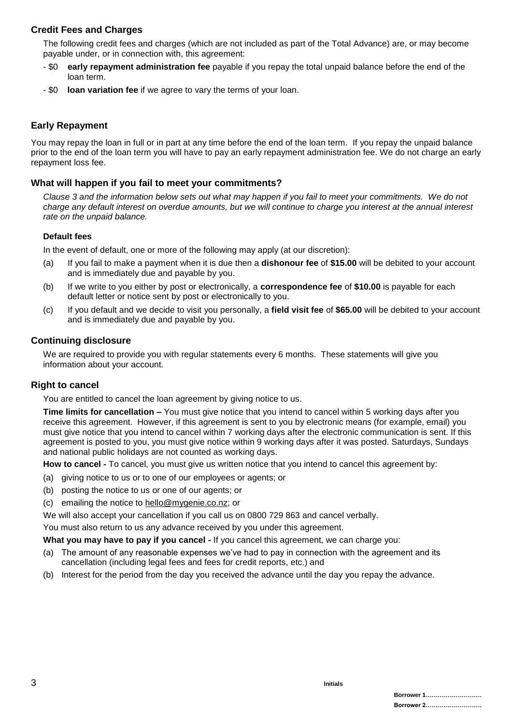# **Credit Fees and Charges**

The following credit fees and charges (which are not included as part of the Total Advance) are, or may become payable under, or in connection with, this agreement:

- \$0 **early repayment administration fee** payable if you repay the total unpaid balance before the end of the loan term.
- \$0 **loan variation fee** if we agree to vary the terms of your loan.

## **Early Repayment**

You may repay the loan in full or in part at any time before the end of the loan term. If you repay the unpaid balance prior to the end of the loan term you will have to pay an early repayment administration fee. We do not charge an early repayment loss fee.

#### **What will happen if you fail to meet your commitments?**

*Clause 3 and the information below sets out what may happen if you fail to meet your commitments. We do not charge any default interest on overdue amounts, but we will continue to charge you interest at the annual interest rate on the unpaid balance.*

#### **Default fees**

In the event of default, one or more of the following may apply (at our discretion):

- (a) If you fail to make a payment when it is due then a **dishonour fee** of **\$15.00** will be debited to your account and is immediately due and payable by you.
- (b) If we write to you either by post or electronically, a **correspondence fee** of **\$10.00** is payable for each default letter or notice sent by post or electronically to you.
- (c) If you default and we decide to visit you personally, a **field visit fee** of **\$65.00** will be debited to your account and is immediately due and payable by you.

#### **Continuing disclosure**

We are required to provide you with regular statements every 6 months. These statements will give you information about your account.

#### **Right to cancel**

You are entitled to cancel the loan agreement by giving notice to us.

**Time limits for cancellation –** You must give notice that you intend to cancel within 5 working days after you receive this agreement. However, if this agreement is sent to you by electronic means (for example, email) you must give notice that you intend to cancel within 7 working days after the electronic communication is sent. If this agreement is posted to you, you must give notice within 9 working days after it was posted. Saturdays, Sundays and national public holidays are not counted as working days.

**How to cancel -** To cancel, you must give us written notice that you intend to cancel this agreement by:

- (a) giving notice to us or to one of our employees or agents; or
- (b) posting the notice to us or one of our agents; or
- (c) emailing the notice to hello@mygenie.co.nz; or

We will also accept your cancellation if you call us on 0800 729 863 and cancel verbally.

You must also return to us any advance received by you under this agreement.

**What you may have to pay if you cancel -** If you cancel this agreement, we can charge you:

- (a) The amount of any reasonable expenses we've had to pay in connection with the agreement and its cancellation (including legal fees and fees for credit reports, etc.) and
- (b) Interest for the period from the day you received the advance until the day you repay the advance.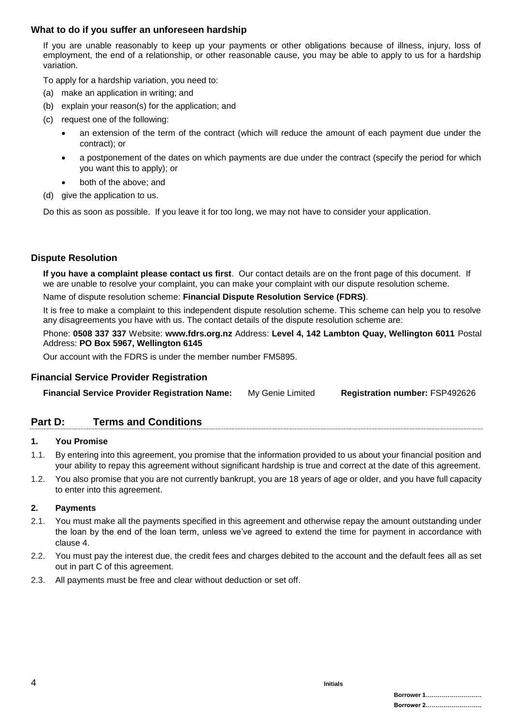## **What to do if you suffer an unforeseen hardship**

If you are unable reasonably to keep up your payments or other obligations because of illness, injury, loss of employment, the end of a relationship, or other reasonable cause, you may be able to apply to us for a hardship variation.

To apply for a hardship variation, you need to:

- (a) make an application in writing; and
- (b) explain your reason(s) for the application; and
- (c) request one of the following:
	- an extension of the term of the contract (which will reduce the amount of each payment due under the contract); or
	- a postponement of the dates on which payments are due under the contract (specify the period for which you want this to apply); or
	- both of the above; and
- (d) give the application to us.

Do this as soon as possible. If you leave it for too long, we may not have to consider your application.

#### **Dispute Resolution**

**If you have a complaint please contact us first**. Our contact details are on the front page of this document. If we are unable to resolve your complaint, you can make your complaint with our dispute resolution scheme.

Name of dispute resolution scheme: **Financial Dispute Resolution Service (FDRS)**.

It is free to make a complaint to this independent dispute resolution scheme. This scheme can help you to resolve any disagreements you have with us. The contact details of the dispute resolution scheme are:

Phone: **0508 337 337** Website: **www.fdrs.org.nz** Address: **Level 4, 142 Lambton Quay, Wellington 6011** Postal Address: **PO Box 5967, Wellington 6145**

Our account with the FDRS is under the member number FM5895.

#### **Financial Service Provider Registration**

|  | <b>Financial Service Provider Registration Name:</b> | My Genie Limited | <b>Registration number: FSP492626</b> |
|--|------------------------------------------------------|------------------|---------------------------------------|
|--|------------------------------------------------------|------------------|---------------------------------------|

# **Part D: Terms and Conditions**

#### **1. You Promise**

- 1.1. By entering into this agreement, you promise that the information provided to us about your financial position and your ability to repay this agreement without significant hardship is true and correct at the date of this agreement.
- 1.2. You also promise that you are not currently bankrupt, you are 18 years of age or older, and you have full capacity to enter into this agreement.

#### **2. Payments**

- 2.1. You must make all the payments specified in this agreement and otherwise repay the amount outstanding under the loan by the end of the loan term, unless we've agreed to extend the time for payment in accordance with clause 4.
- 2.2. You must pay the interest due, the credit fees and charges debited to the account and the default fees all as set out in part C of this agreement.
- 2.3. All payments must be free and clear without deduction or set off.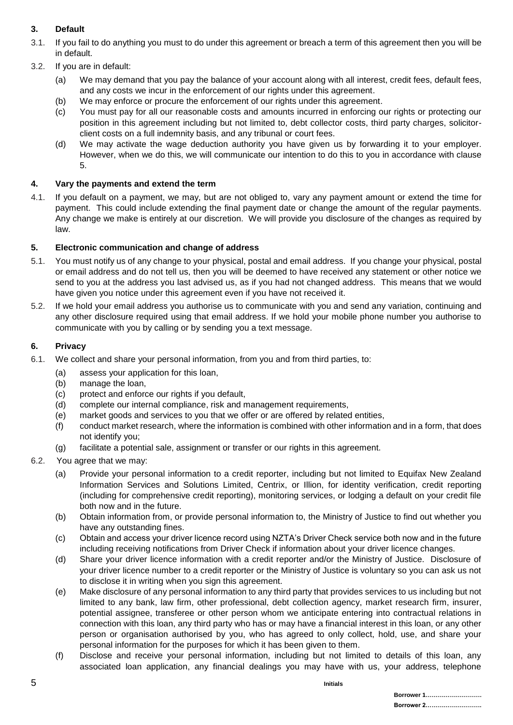# **3. Default**

- 3.1. If you fail to do anything you must to do under this agreement or breach a term of this agreement then you will be in default.
- 3.2. If you are in default:
	- (a) We may demand that you pay the balance of your account along with all interest, credit fees, default fees, and any costs we incur in the enforcement of our rights under this agreement.
	- (b) We may enforce or procure the enforcement of our rights under this agreement.
	- (c) You must pay for all our reasonable costs and amounts incurred in enforcing our rights or protecting our position in this agreement including but not limited to, debt collector costs, third party charges, solicitorclient costs on a full indemnity basis, and any tribunal or court fees.
	- (d) We may activate the wage deduction authority you have given us by forwarding it to your employer. However, when we do this, we will communicate our intention to do this to you in accordance with clause 5.

#### **4. Vary the payments and extend the term**

4.1. If you default on a payment, we may, but are not obliged to, vary any payment amount or extend the time for payment. This could include extending the final payment date or change the amount of the regular payments. Any change we make is entirely at our discretion. We will provide you disclosure of the changes as required by law.

#### **5. Electronic communication and change of address**

- 5.1. You must notify us of any change to your physical, postal and email address. If you change your physical, postal or email address and do not tell us, then you will be deemed to have received any statement or other notice we send to you at the address you last advised us, as if you had not changed address. This means that we would have given you notice under this agreement even if you have not received it.
- 5.2. If we hold your email address you authorise us to communicate with you and send any variation, continuing and any other disclosure required using that email address. If we hold your mobile phone number you authorise to communicate with you by calling or by sending you a text message.

#### **6. Privacy**

- 6.1. We collect and share your personal information, from you and from third parties, to:
	- (a) assess your application for this loan,
	- (b) manage the loan,
	- (c) protect and enforce our rights if you default,
	- (d) complete our internal compliance, risk and management requirements,
	- (e) market goods and services to you that we offer or are offered by related entities,
	- (f) conduct market research, where the information is combined with other information and in a form, that does not identify you;
	- (g) facilitate a potential sale, assignment or transfer or our rights in this agreement.
- 6.2. You agree that we may:
	- (a) Provide your personal information to a credit reporter, including but not limited to Equifax New Zealand Information Services and Solutions Limited, Centrix, or Illion, for identity verification, credit reporting (including for comprehensive credit reporting), monitoring services, or lodging a default on your credit file both now and in the future.
	- (b) Obtain information from, or provide personal information to, the Ministry of Justice to find out whether you have any outstanding fines.
	- (c) Obtain and access your driver licence record using NZTA's Driver Check service both now and in the future including receiving notifications from Driver Check if information about your driver licence changes.
	- (d) Share your driver licence information with a credit reporter and/or the Ministry of Justice. Disclosure of your driver licence number to a credit reporter or the Ministry of Justice is voluntary so you can ask us not to disclose it in writing when you sign this agreement.
	- (e) Make disclosure of any personal information to any third party that provides services to us including but not limited to any bank, law firm, other professional, debt collection agency, market research firm, insurer, potential assignee, transferee or other person whom we anticipate entering into contractual relations in connection with this loan, any third party who has or may have a financial interest in this loan, or any other person or organisation authorised by you, who has agreed to only collect, hold, use, and share your personal information for the purposes for which it has been given to them.
	- (f) Disclose and receive your personal information, including but not limited to details of this loan, any associated loan application, any financial dealings you may have with us, your address, telephone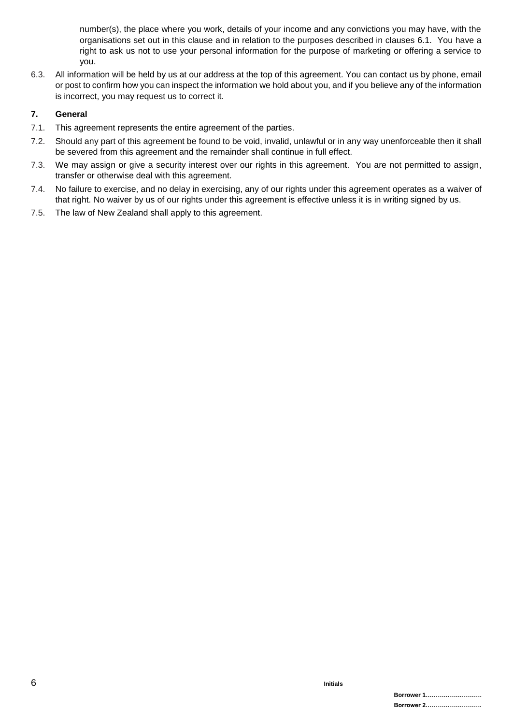number(s), the place where you work, details of your income and any convictions you may have, with the organisations set out in this clause and in relation to the purposes described in clauses 6.1. You have a right to ask us not to use your personal information for the purpose of marketing or offering a service to you.

6.3. All information will be held by us at our address at the top of this agreement. You can contact us by phone, email or post to confirm how you can inspect the information we hold about you, and if you believe any of the information is incorrect, you may request us to correct it.

#### **7. General**

- 7.1. This agreement represents the entire agreement of the parties.
- 7.2. Should any part of this agreement be found to be void, invalid, unlawful or in any way unenforceable then it shall be severed from this agreement and the remainder shall continue in full effect.
- 7.3. We may assign or give a security interest over our rights in this agreement. You are not permitted to assign, transfer or otherwise deal with this agreement.
- 7.4. No failure to exercise, and no delay in exercising, any of our rights under this agreement operates as a waiver of that right. No waiver by us of our rights under this agreement is effective unless it is in writing signed by us.
- 7.5. The law of New Zealand shall apply to this agreement.